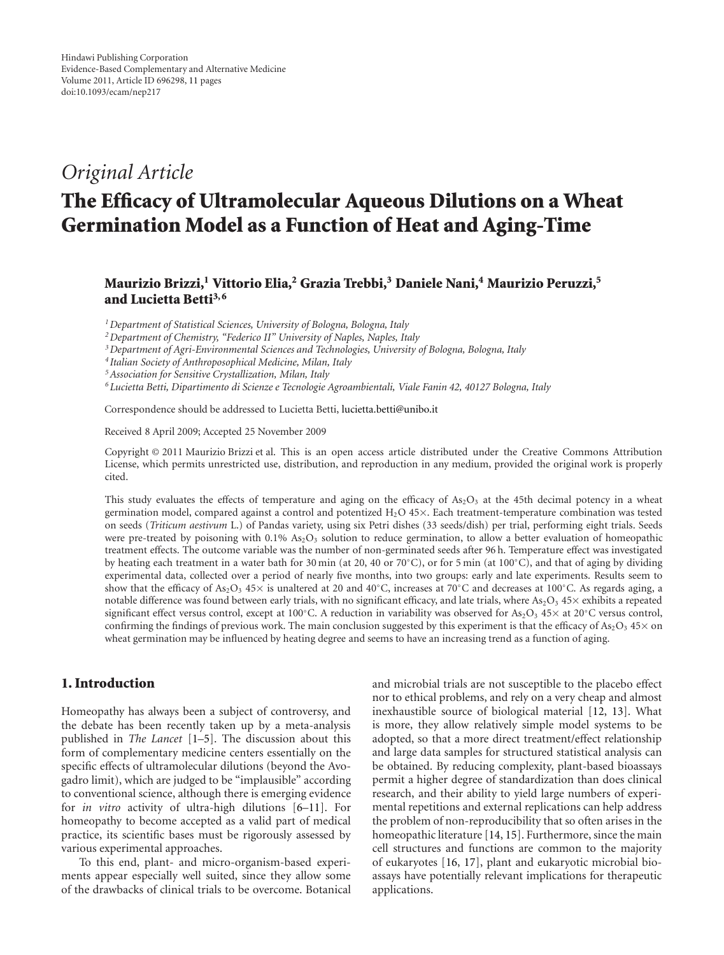## *Original Article*

# **The Efficacy of Ultramolecular Aqueous Dilutions on a Wheat Germination Model as a Function of Heat and Aging-Time**

**Maurizio Brizzi,1 Vittorio Elia,2 Grazia Trebbi,3 Daniele Nani,4 Maurizio Peruzzi,5** and Lucietta Betti<sup>3,6</sup>

*1Department of Statistical Sciences, University of Bologna, Bologna, Italy*

*2Department of Chemistry, "Federico II" University of Naples, Naples, Italy*

*3Department of Agri-Environmental Sciences and Technologies, University of Bologna, Bologna, Italy*

*<sup>4</sup> Italian Society of Anthroposophical Medicine, Milan, Italy*

*5Association for Sensitive Crystallization, Milan, Italy*

*6Lucietta Betti, Dipartimento di Scienze e Tecnologie Agroambientali, Viale Fanin 42, 40127 Bologna, Italy*

Correspondence should be addressed to Lucietta Betti, lucietta.betti@unibo.it

Received 8 April 2009; Accepted 25 November 2009

Copyright © 2011 Maurizio Brizzi et al. This is an open access article distributed under the Creative Commons Attribution License, which permits unrestricted use, distribution, and reproduction in any medium, provided the original work is properly cited.

This study evaluates the effects of temperature and aging on the efficacy of  $As_2O_3$  at the 45th decimal potency in a wheat germination model, compared against a control and potentized H<sub>2</sub>O 45×. Each treatment-temperature combination was tested on seeds (*Triticum aestivum* L.) of Pandas variety, using six Petri dishes (33 seeds/dish) per trial, performing eight trials. Seeds were pre-treated by poisoning with  $0.1\%$  As<sub>2</sub>O<sub>3</sub> solution to reduce germination, to allow a better evaluation of homeopathic treatment effects. The outcome variable was the number of non-germinated seeds after 96 h. Temperature effect was investigated by heating each treatment in a water bath for 30 min (at 20, 40 or 70◦C), or for 5 min (at 100◦C), and that of aging by dividing experimental data, collected over a period of nearly five months, into two groups: early and late experiments. Results seem to show that the efficacy of As<sub>2</sub>O<sub>3</sub> 45× is unaltered at 20 and 40<sup>°</sup>C, increases at 70<sup>°</sup>C and decreases at 100<sup>°</sup>C. As regards aging, a notable difference was found between early trials, with no significant efficacy, and late trials, where  $As_2O_3$  45 $\times$  exhibits a repeated significant effect versus control, except at 100°C. A reduction in variability was observed for As<sub>2</sub>O<sub>3</sub> 45× at 20°C versus control, confirming the findings of previous work. The main conclusion suggested by this experiment is that the efficacy of As<sub>2</sub>O<sub>3</sub> 45× on wheat germination may be influenced by heating degree and seems to have an increasing trend as a function of aging.

## **1. Introduction**

Homeopathy has always been a subject of controversy, and the debate has been recently taken up by a meta-analysis published in *The Lancet* [1–5]. The discussion about this form of complementary medicine centers essentially on the specific effects of ultramolecular dilutions (beyond the Avogadro limit), which are judged to be "implausible" according to conventional science, although there is emerging evidence for *in vitro* activity of ultra-high dilutions [6–11]. For homeopathy to become accepted as a valid part of medical practice, its scientific bases must be rigorously assessed by various experimental approaches.

To this end, plant- and micro-organism-based experiments appear especially well suited, since they allow some of the drawbacks of clinical trials to be overcome. Botanical and microbial trials are not susceptible to the placebo effect nor to ethical problems, and rely on a very cheap and almost inexhaustible source of biological material [12, 13]. What is more, they allow relatively simple model systems to be adopted, so that a more direct treatment/effect relationship and large data samples for structured statistical analysis can be obtained. By reducing complexity, plant-based bioassays permit a higher degree of standardization than does clinical research, and their ability to yield large numbers of experimental repetitions and external replications can help address the problem of non-reproducibility that so often arises in the homeopathic literature [14, 15]. Furthermore, since the main cell structures and functions are common to the majority of eukaryotes [16, 17], plant and eukaryotic microbial bioassays have potentially relevant implications for therapeutic applications.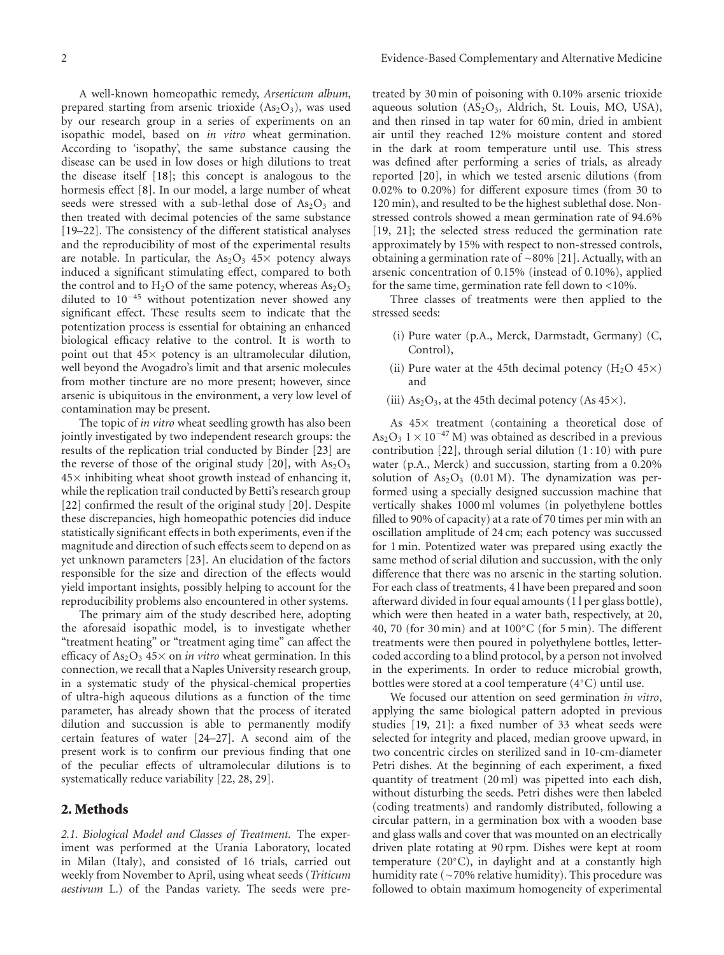A well-known homeopathic remedy, *Arsenicum album*, prepared starting from arsenic trioxide  $(As<sub>2</sub>O<sub>3</sub>)$ , was used by our research group in a series of experiments on an isopathic model, based on *in vitro* wheat germination. According to 'isopathy', the same substance causing the disease can be used in low doses or high dilutions to treat the disease itself [18]; this concept is analogous to the hormesis effect [8]. In our model, a large number of wheat seeds were stressed with a sub-lethal dose of  $As<sub>2</sub>O<sub>3</sub>$  and then treated with decimal potencies of the same substance [19–22]. The consistency of the different statistical analyses and the reproducibility of most of the experimental results are notable. In particular, the  $As<sub>2</sub>O<sub>3</sub> 45\times$  potency always induced a significant stimulating effect, compared to both the control and to  $H_2O$  of the same potency, whereas  $As_2O_3$ diluted to 10−<sup>45</sup> without potentization never showed any significant effect. These results seem to indicate that the potentization process is essential for obtaining an enhanced biological efficacy relative to the control. It is worth to point out that  $45\times$  potency is an ultramolecular dilution, well beyond the Avogadro's limit and that arsenic molecules from mother tincture are no more present; however, since arsenic is ubiquitous in the environment, a very low level of contamination may be present.

The topic of *in vitro* wheat seedling growth has also been jointly investigated by two independent research groups: the results of the replication trial conducted by Binder [23] are the reverse of those of the original study [20], with  $As<sub>2</sub>O<sub>3</sub>$  $45\times$  inhibiting wheat shoot growth instead of enhancing it, while the replication trail conducted by Betti's research group [22] confirmed the result of the original study [20]. Despite these discrepancies, high homeopathic potencies did induce statistically significant effects in both experiments, even if the magnitude and direction of such effects seem to depend on as yet unknown parameters [23]. An elucidation of the factors responsible for the size and direction of the effects would yield important insights, possibly helping to account for the reproducibility problems also encountered in other systems.

The primary aim of the study described here, adopting the aforesaid isopathic model, is to investigate whether "treatment heating" or "treatment aging time" can affect the efficacy of  $As_2O_3$  45× on *in vitro* wheat germination. In this connection, we recall that a Naples University research group, in a systematic study of the physical-chemical properties of ultra-high aqueous dilutions as a function of the time parameter, has already shown that the process of iterated dilution and succussion is able to permanently modify certain features of water [24–27]. A second aim of the present work is to confirm our previous finding that one of the peculiar effects of ultramolecular dilutions is to systematically reduce variability [22, 28, 29].

## **2. Methods**

*2.1. Biological Model and Classes of Treatment.* The experiment was performed at the Urania Laboratory, located in Milan (Italy), and consisted of 16 trials, carried out weekly from November to April, using wheat seeds (*Triticum aestivum* L.) of the Pandas variety. The seeds were pretreated by 30 min of poisoning with 0.10% arsenic trioxide aqueous solution  $(AS_2O_3,$  Aldrich, St. Louis, MO, USA), and then rinsed in tap water for 60 min, dried in ambient air until they reached 12% moisture content and stored in the dark at room temperature until use. This stress was defined after performing a series of trials, as already reported [20], in which we tested arsenic dilutions (from 0.02% to 0.20%) for different exposure times (from 30 to 120 min), and resulted to be the highest sublethal dose. Nonstressed controls showed a mean germination rate of 94.6% [19, 21]; the selected stress reduced the germination rate approximately by 15% with respect to non-stressed controls, obtaining a germination rate of ∼80% [21]. Actually, with an arsenic concentration of 0.15% (instead of 0.10%), applied for the same time, germination rate fell down to *<*10%.

Three classes of treatments were then applied to the stressed seeds:

- (i) Pure water (p.A., Merck, Darmstadt, Germany) (C, Control),
- (ii) Pure water at the 45th decimal potency  $(H_2O 45 \times)$ and
- (iii)  $As<sub>2</sub>O<sub>3</sub>$ , at the 45th decimal potency (As 45 $\times$ ).

As 45× treatment (containing a theoretical dose of As<sub>2</sub>O<sub>3</sub> 1 × 10<sup>-47</sup> M) was obtained as described in a previous contribution  $[22]$ , through serial dilution  $(1:10)$  with pure water (p.A., Merck) and succussion, starting from a 0.20% solution of  $As_2O_3$  (0.01 M). The dynamization was performed using a specially designed succussion machine that vertically shakes 1000 ml volumes (in polyethylene bottles filled to 90% of capacity) at a rate of 70 times per min with an oscillation amplitude of 24 cm; each potency was succussed for 1 min. Potentized water was prepared using exactly the same method of serial dilution and succussion, with the only difference that there was no arsenic in the starting solution. For each class of treatments, 4 l have been prepared and soon afterward divided in four equal amounts (1 l per glass bottle), which were then heated in a water bath, respectively, at 20, 40, 70 (for 30 min) and at 100◦C (for 5 min). The different treatments were then poured in polyethylene bottles, lettercoded according to a blind protocol, by a person not involved in the experiments. In order to reduce microbial growth, bottles were stored at a cool temperature (4◦C) until use.

We focused our attention on seed germination *in vitro*, applying the same biological pattern adopted in previous studies [19, 21]: a fixed number of 33 wheat seeds were selected for integrity and placed, median groove upward, in two concentric circles on sterilized sand in 10-cm-diameter Petri dishes. At the beginning of each experiment, a fixed quantity of treatment (20 ml) was pipetted into each dish, without disturbing the seeds. Petri dishes were then labeled (coding treatments) and randomly distributed, following a circular pattern, in a germination box with a wooden base and glass walls and cover that was mounted on an electrically driven plate rotating at 90 rpm. Dishes were kept at room temperature (20◦C), in daylight and at a constantly high humidity rate (∼70% relative humidity). This procedure was followed to obtain maximum homogeneity of experimental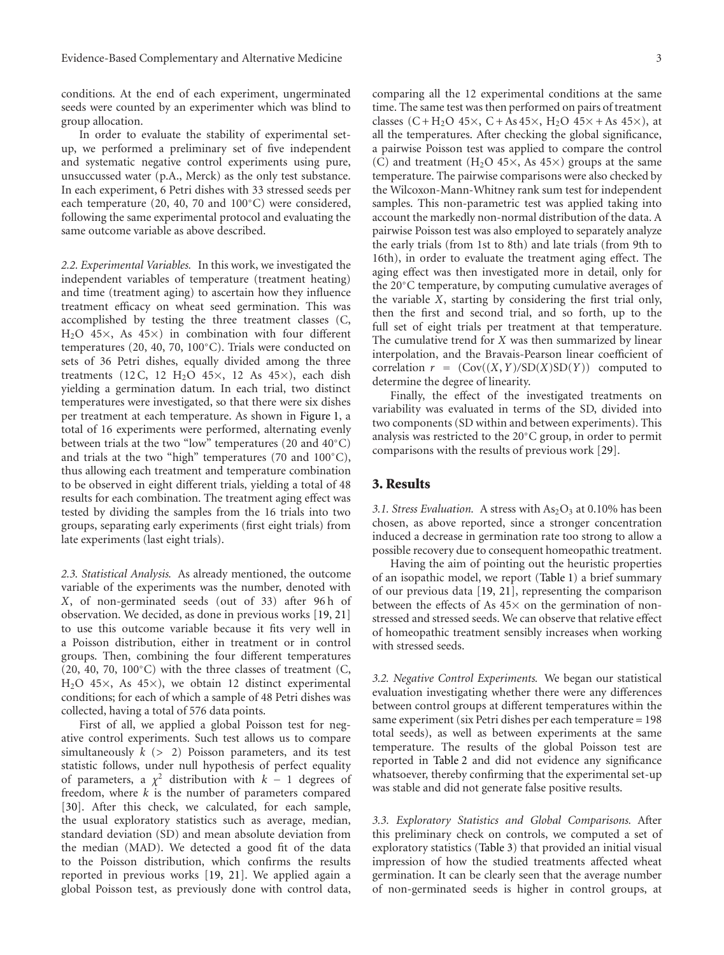conditions. At the end of each experiment, ungerminated seeds were counted by an experimenter which was blind to group allocation.

In order to evaluate the stability of experimental setup, we performed a preliminary set of five independent and systematic negative control experiments using pure, unsuccussed water (p.A., Merck) as the only test substance. In each experiment, 6 Petri dishes with 33 stressed seeds per each temperature (20, 40, 70 and 100◦C) were considered, following the same experimental protocol and evaluating the same outcome variable as above described.

*2.2. Experimental Variables.* In this work, we investigated the independent variables of temperature (treatment heating) and time (treatment aging) to ascertain how they influence treatment efficacy on wheat seed germination. This was accomplished by testing the three treatment classes (C,  $H<sub>2</sub>O$  45 $\times$ , As 45 $\times$ ) in combination with four different temperatures (20, 40, 70, 100◦C). Trials were conducted on sets of 36 Petri dishes, equally divided among the three treatments (12 C, 12 H<sub>2</sub>O 45 $\times$ , 12 As 45 $\times$ ), each dish yielding a germination datum. In each trial, two distinct temperatures were investigated, so that there were six dishes per treatment at each temperature. As shown in Figure 1, a total of 16 experiments were performed, alternating evenly between trials at the two "low" temperatures (20 and 40◦C) and trials at the two "high" temperatures (70 and 100◦C), thus allowing each treatment and temperature combination to be observed in eight different trials, yielding a total of 48 results for each combination. The treatment aging effect was tested by dividing the samples from the 16 trials into two groups, separating early experiments (first eight trials) from late experiments (last eight trials).

*2.3. Statistical Analysis.* As already mentioned, the outcome variable of the experiments was the number, denoted with *X*, of non-germinated seeds (out of 33) after 96 h of observation. We decided, as done in previous works [19, 21] to use this outcome variable because it fits very well in a Poisson distribution, either in treatment or in control groups. Then, combining the four different temperatures (20, 40, 70, 100 $°C$ ) with the three classes of treatment (C,  $H<sub>2</sub>O$  45×, As 45×), we obtain 12 distinct experimental conditions; for each of which a sample of 48 Petri dishes was collected, having a total of 576 data points.

First of all, we applied a global Poisson test for negative control experiments. Such test allows us to compare simultaneously *k* (*>* 2) Poisson parameters, and its test statistic follows, under null hypothesis of perfect equality of parameters, a  $\chi^2$  distribution with  $k - 1$  degrees of freedom, where *k* is the number of parameters compared [30]. After this check, we calculated, for each sample, the usual exploratory statistics such as average, median, standard deviation (SD) and mean absolute deviation from the median (MAD). We detected a good fit of the data to the Poisson distribution, which confirms the results reported in previous works [19, 21]. We applied again a global Poisson test, as previously done with control data, comparing all the 12 experimental conditions at the same time. The same test was then performed on pairs of treatment classes  $(C + H_2O 45 \times, C + As 45 \times, H_2O 45 \times + As 45 \times),$  at all the temperatures. After checking the global significance, a pairwise Poisson test was applied to compare the control (C) and treatment (H<sub>2</sub>O 45 $\times$ , As 45 $\times$ ) groups at the same temperature. The pairwise comparisons were also checked by the Wilcoxon-Mann-Whitney rank sum test for independent samples. This non-parametric test was applied taking into account the markedly non-normal distribution of the data. A pairwise Poisson test was also employed to separately analyze the early trials (from 1st to 8th) and late trials (from 9th to 16th), in order to evaluate the treatment aging effect. The aging effect was then investigated more in detail, only for the 20◦C temperature, by computing cumulative averages of the variable *X*, starting by considering the first trial only, then the first and second trial, and so forth, up to the full set of eight trials per treatment at that temperature. The cumulative trend for *X* was then summarized by linear interpolation, and the Bravais-Pearson linear coefficient of correlation  $r = (Cov((X, Y)/SD(X)SD(Y))$  computed to determine the degree of linearity.

Finally, the effect of the investigated treatments on variability was evaluated in terms of the SD, divided into two components (SD within and between experiments). This analysis was restricted to the 20◦C group, in order to permit comparisons with the results of previous work [29].

## **3. Results**

3.1. Stress Evaluation. A stress with  $As_2O_3$  at 0.10% has been chosen, as above reported, since a stronger concentration induced a decrease in germination rate too strong to allow a possible recovery due to consequent homeopathic treatment.

Having the aim of pointing out the heuristic properties of an isopathic model, we report (Table 1) a brief summary of our previous data [19, 21], representing the comparison between the effects of As  $45\times$  on the germination of nonstressed and stressed seeds. We can observe that relative effect of homeopathic treatment sensibly increases when working with stressed seeds.

*3.2. Negative Control Experiments.* We began our statistical evaluation investigating whether there were any differences between control groups at different temperatures within the same experiment (six Petri dishes per each temperature = 198 total seeds), as well as between experiments at the same temperature. The results of the global Poisson test are reported in Table 2 and did not evidence any significance whatsoever, thereby confirming that the experimental set-up was stable and did not generate false positive results.

*3.3. Exploratory Statistics and Global Comparisons.* After this preliminary check on controls, we computed a set of exploratory statistics (Table 3) that provided an initial visual impression of how the studied treatments affected wheat germination. It can be clearly seen that the average number of non-germinated seeds is higher in control groups, at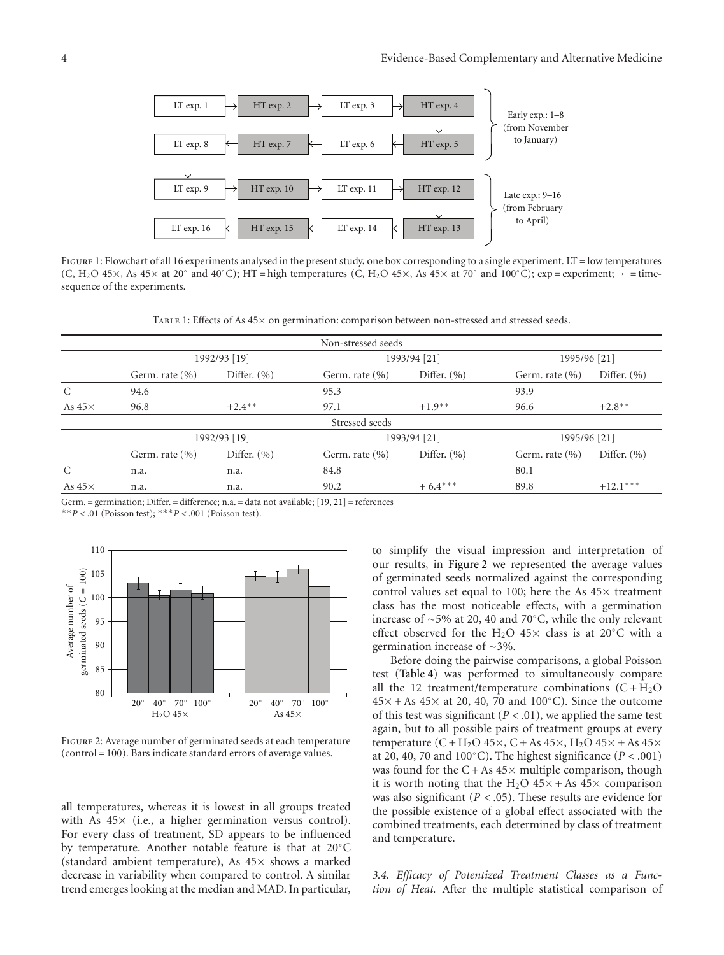

FIGURE 1: Flowchart of all 16 experiments analysed in the present study, one box corresponding to a single experiment. LT = low temperatures (C, H<sub>2</sub>O 45×, As 45× at 20° and 40°C); HT = high temperatures (C, H<sub>2</sub>O 45×, As 45× at 70° and 100°C); exp = experiment;  $\rightarrow$  = timesequence of the experiments.

Table 1: Effects of As 45× on germination: comparison between non-stressed and stressed seeds.

|               |                    |                 | Non-stressed seeds |                 |                    |                 |  |
|---------------|--------------------|-----------------|--------------------|-----------------|--------------------|-----------------|--|
|               | 1992/93 [19]       |                 |                    | 1993/94 [21]    |                    | 1995/96 [21]    |  |
|               | Germ. rate $(\% )$ | Differ. $(\% )$ | Germ. rate $(\% )$ | Differ. $(\% )$ | Germ. rate $(\% )$ | Differ. $(\% )$ |  |
| $\mathcal{C}$ | 94.6               |                 | 95.3               |                 | 93.9               |                 |  |
| As $45\times$ | 96.8               | $+2.4***$       | 97.1               | $+1.9**$        | 96.6               | $+2.8$ **       |  |
|               |                    |                 | Stressed seeds     |                 |                    |                 |  |
|               | 1992/93 [19]       |                 |                    | 1993/94 [21]    |                    | 1995/96 [21]    |  |
|               | Germ. rate $(\% )$ | Differ. $(\% )$ | Germ. rate $(\% )$ | Differ. $(\% )$ | Germ. rate $(\% )$ | Differ. $(\% )$ |  |
| C             | n.a.               | n.a.            | 84.8               |                 | 80.1               |                 |  |
| As $45\times$ | n.a.               | n.a.            | 90.2               | $+6.4***$       | 89.8               | $+12.1***$      |  |

Germ. = germination; Differ. = difference; n.a. = data not available; [19, 21] = references

∗∗*P <* .01 (Poisson test); ∗∗∗*P <* .001 (Poisson test).



Figure 2: Average number of germinated seeds at each temperature (control = 100). Bars indicate standard errors of average values.

all temperatures, whereas it is lowest in all groups treated with As  $45\times$  (i.e., a higher germination versus control). For every class of treatment, SD appears to be influenced by temperature. Another notable feature is that at 20◦C (standard ambient temperature), As  $45\times$  shows a marked decrease in variability when compared to control. A similar trend emerges looking at the median and MAD. In particular, to simplify the visual impression and interpretation of our results, in Figure 2 we represented the average values of germinated seeds normalized against the corresponding control values set equal to 100; here the As  $45\times$  treatment class has the most noticeable effects, with a germination increase of ∼5% at 20, 40 and 70◦C, while the only relevant effect observed for the H<sub>2</sub>O 45 $\times$  class is at 20 $\degree$ C with a germination increase of ∼3%.

Before doing the pairwise comparisons, a global Poisson test (Table 4) was performed to simultaneously compare all the 12 treatment/temperature combinations  $(C + H_2O)$  $45\times$  + As  $45\times$  at 20, 40, 70 and 100°C). Since the outcome of this test was significant  $(P < .01)$ , we applied the same test again, but to all possible pairs of treatment groups at every temperature  $(C + H_2O 45 \times, C + As 45 \times, H_2O 45 \times + As 45 \times$ at 20, 40, 70 and 100 $^{\circ}$ C). The highest significance ( $P < .001$ ) was found for the  $C + As 45 \times$  multiple comparison, though it is worth noting that the H<sub>2</sub>O  $45\times$  + As  $45\times$  comparison was also significant (*P <* .05). These results are evidence for the possible existence of a global effect associated with the combined treatments, each determined by class of treatment and temperature.

*3.4. Efficacy of Potentized Treatment Classes as a Function of Heat.* After the multiple statistical comparison of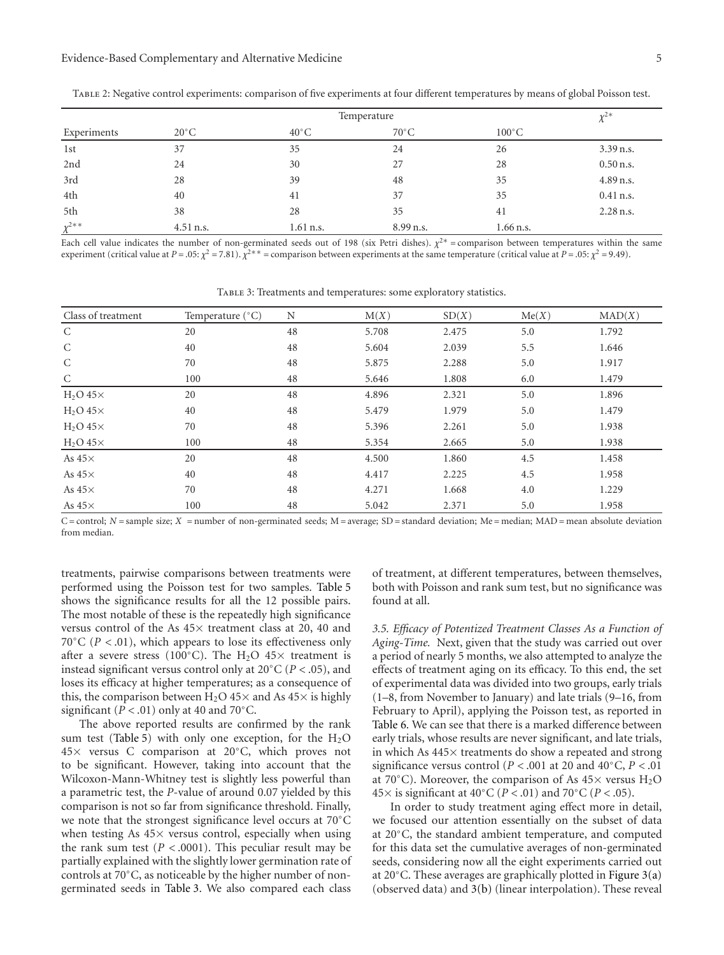#### Evidence-Based Complementary and Alternative Medicine 5

|                        | Temperature    |                |                |                 |             |
|------------------------|----------------|----------------|----------------|-----------------|-------------|
| Experiments            | $20^{\circ}$ C | $40^{\circ}$ C | $70^{\circ}$ C | $100^{\circ}$ C |             |
| 1st                    | 37             | 35             | 24             | 26              | $3.39$ n.s. |
| 2nd                    | 24             | 30             | 27             | 28              | $0.50$ n.s. |
| 3rd                    | 28             | 39             | 48             | 35              | 4.89 n.s.   |
| 4th                    | 40             | 41             | 37             | 35              | $0.41$ n.s. |
| 5th                    | 38             | 28             | 35             | 41              | $2.28$ n.s. |
| $x^{2**}$<br>$\Lambda$ | 4.51 n.s.      | 1.61 n.s.      | 8.99 n.s.      | $1.66$ n.s.     |             |

Table 2: Negative control experiments: comparison of five experiments at four different temperatures by means of global Poisson test.

Each cell value indicates the number of non-germinated seeds out of 198 (six Petri dishes).  $\chi^{2*}$  = comparison between temperatures within the same experiment (critical value at *P* = .05:  $\chi^2$  = 7.81).  $\chi^{2**}$  = comparison between experiments at the same temperature (critical value at *P* = .05:  $\chi^2$  = 9.49).

| Class of treatment | Temperature $(^{\circ}C)$ | N  | M(X)  | SD(X) | Me(X) | MAD(X) |
|--------------------|---------------------------|----|-------|-------|-------|--------|
| $\mathsf{C}$       | 20                        | 48 | 5.708 | 2.475 | 5.0   | 1.792  |
| C                  | 40                        | 48 | 5.604 | 2.039 | 5.5   | 1.646  |
| C                  | 70                        | 48 | 5.875 | 2.288 | 5.0   | 1.917  |
| $\mathcal{C}$      | 100                       | 48 | 5.646 | 1.808 | 6.0   | 1.479  |
| $H2O 45 \times$    | 20                        | 48 | 4.896 | 2.321 | 5.0   | 1.896  |
| $H2O 45 \times$    | 40                        | 48 | 5.479 | 1.979 | 5.0   | 1.479  |
| $H2O 45 \times$    | 70                        | 48 | 5.396 | 2.261 | 5.0   | 1.938  |
| $H_2O$ 45 $\times$ | 100                       | 48 | 5.354 | 2.665 | 5.0   | 1.938  |
| As $45\times$      | 20                        | 48 | 4.500 | 1.860 | 4.5   | 1.458  |
| As $45\times$      | 40                        | 48 | 4.417 | 2.225 | 4.5   | 1.958  |
| As $45\times$      | 70                        | 48 | 4.271 | 1.668 | 4.0   | 1.229  |
| As $45\times$      | 100                       | 48 | 5.042 | 2.371 | 5.0   | 1.958  |

Table 3: Treatments and temperatures: some exploratory statistics.

 $C$  = control;  $N$  = sample size;  $X$  = number of non-germinated seeds;  $M$  = average;  $SD$  = standard deviation;  $Me$  = median;  $MAD$  = mean absolute deviation from median.

treatments, pairwise comparisons between treatments were performed using the Poisson test for two samples. Table 5 shows the significance results for all the 12 possible pairs. The most notable of these is the repeatedly high significance versus control of the As 45× treatment class at 20, 40 and 70◦C (*P <* .01), which appears to lose its effectiveness only after a severe stress (100°C). The H<sub>2</sub>O 45× treatment is instead significant versus control only at 20◦C (*P <* .05), and loses its efficacy at higher temperatures; as a consequence of this, the comparison between  $H_2O$  45× and As 45× is highly significant ( $P < .01$ ) only at 40 and 70 $^{\circ}$ C.

The above reported results are confirmed by the rank sum test (Table 5) with only one exception, for the  $H_2O$ 45× versus C comparison at 20◦C, which proves not to be significant. However, taking into account that the Wilcoxon-Mann-Whitney test is slightly less powerful than a parametric test, the *P*-value of around 0.07 yielded by this comparison is not so far from significance threshold. Finally, we note that the strongest significance level occurs at 70◦C when testing As  $45\times$  versus control, especially when using the rank sum test  $(P < .0001)$ . This peculiar result may be partially explained with the slightly lower germination rate of controls at 70◦C, as noticeable by the higher number of nongerminated seeds in Table 3. We also compared each class

of treatment, at different temperatures, between themselves, both with Poisson and rank sum test, but no significance was found at all.

*3.5. Efficacy of Potentized Treatment Classes As a Function of Aging-Time.* Next, given that the study was carried out over a period of nearly 5 months, we also attempted to analyze the effects of treatment aging on its efficacy. To this end, the set of experimental data was divided into two groups, early trials (1–8, from November to January) and late trials (9–16, from February to April), applying the Poisson test, as reported in Table 6. We can see that there is a marked difference between early trials, whose results are never significant, and late trials, in which As 445× treatments do show a repeated and strong significance versus control ( $P < .001$  at 20 and 40°C,  $P < .01$ at 70 $^{\circ}$ C). Moreover, the comparison of As 45 $\times$  versus H<sub>2</sub>O <sup>45</sup><sup>×</sup> is significant at 40◦C (*<sup>P</sup> <sup>&</sup>lt;* .01) and 70◦C (*<sup>P</sup> <sup>&</sup>lt;* .05).

In order to study treatment aging effect more in detail, we focused our attention essentially on the subset of data at 20◦C, the standard ambient temperature, and computed for this data set the cumulative averages of non-germinated seeds, considering now all the eight experiments carried out at 20◦C. These averages are graphically plotted in Figure 3(a) (observed data) and 3(b) (linear interpolation). These reveal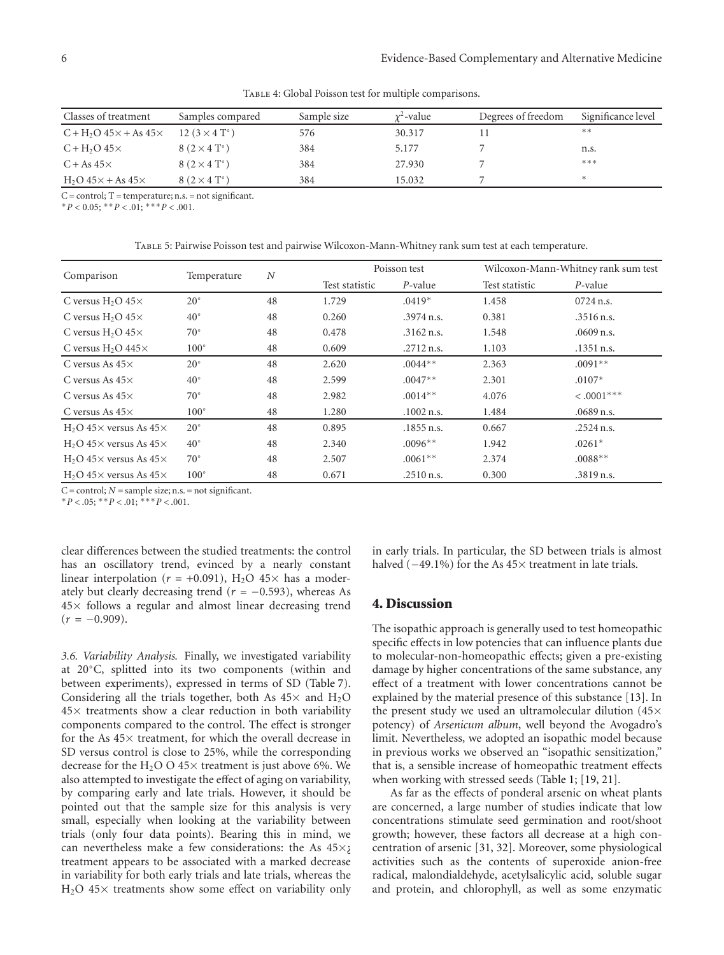TABLE 4: Global Poisson test for multiple comparisons.

| Classes of treatment               | Samples compared     | Sample size | $x^2$ -value | Degrees of freedom | Significance level |
|------------------------------------|----------------------|-------------|--------------|--------------------|--------------------|
| $C + H2O 45 \times + As 45 \times$ | 12 $(3 \times 4$ T°) | 576         | 30.317       |                    | **                 |
| $C + H2O 45 \times$                | $8(2\times4$ T°)     | 384         | 5.177        |                    | n.s.               |
| $C + As 45 \times$                 | $8(2\times4$ T°)     | 384         | 27.930       |                    | ***                |
| $H2O$ 45 $\times$ + As 45 $\times$ | $8(2\times4$ T°)     | 384         | 15.032       |                    | *                  |

 $C = control$ ; T = temperature; n.s. = not significant.

 $*P < 0.05$ ;  $*P < 0.01$ ;  $**P < 0.01$ .

Table 5: Pairwise Poisson test and pairwise Wilcoxon-Mann-Whitney rank sum test at each temperature.

| Comparison                               | Temperature   | N  |                | Poisson test | Wilcoxon-Mann-Whitney rank sum test |              |
|------------------------------------------|---------------|----|----------------|--------------|-------------------------------------|--------------|
|                                          |               |    | Test statistic | P-value      | Test statistic                      | $P$ -value   |
| C versus $H_2O$ 45 $\times$              | $20^{\circ}$  | 48 | 1.729          | $.0419*$     | 1.458                               | $0724$ n.s.  |
| C versus $H_2O$ 45 $\times$              | $40^{\circ}$  | 48 | 0.260          | $.3974$ n.s. | 0.381                               | $.3516$ n.s. |
| C versus $H_2O$ 45 $\times$              | $70^{\circ}$  | 48 | 0.478          | $.3162$ n.s. | 1.548                               | $.0609$ n.s. |
| C versus $H_2O$ 445 $\times$             | $100^{\circ}$ | 48 | 0.609          | $.2712$ n.s. | 1.103                               | $.1351$ n.s. |
| C versus As $45\times$                   | $20^{\circ}$  | 48 | 2.620          | $.0044**$    | 2.363                               | $.0091**$    |
| C versus As $45\times$                   | $40^{\circ}$  | 48 | 2.599          | $.0047**$    | 2.301                               | $.0107*$     |
| C versus As $45\times$                   | $70^{\circ}$  | 48 | 2.982          | $.0014**$    | 4.076                               | $< .0001***$ |
| C versus As $45\times$                   | $100^{\circ}$ | 48 | 1.280          | $.1002$ n.s. | 1.484                               | $.0689$ n.s. |
| $H2O$ 45 $\times$ versus As 45 $\times$  | $20^{\circ}$  | 48 | 0.895          | $.1855$ n.s. | 0.667                               | $.2524$ n.s. |
| $H_2O$ 45 $\times$ versus As 45 $\times$ | $40^{\circ}$  | 48 | 2.340          | $.0096**$    | 1.942                               | $.0261*$     |
| $H2O$ 45 $\times$ versus As 45 $\times$  | $70^{\circ}$  | 48 | 2.507          | $.0061**$    | 2.374                               | $.0088**$    |
| $H2O$ 45 $\times$ versus As 45 $\times$  | $100^{\circ}$ | 48 | 0.671          | $.2510$ n.s. | 0.300                               | .3819 n.s.   |

 $C =$  control;  $N =$  sample size; n.s. = not significant.

 $*P < .05; *P < .01; **P < .001.$ 

clear differences between the studied treatments: the control has an oscillatory trend, evinced by a nearly constant linear interpolation ( $r = +0.091$ ), H<sub>2</sub>O 45× has a moderately but clearly decreasing trend  $(r = -0.593)$ , whereas As 45× follows a regular and almost linear decreasing trend  $(r = -0.909)$ .

*3.6. Variability Analysis.* Finally, we investigated variability at 20◦C, splitted into its two components (within and between experiments), expressed in terms of SD (Table 7). Considering all the trials together, both As  $45\times$  and  $H_2O$ 45× treatments show a clear reduction in both variability components compared to the control. The effect is stronger for the As  $45\times$  treatment, for which the overall decrease in SD versus control is close to 25%, while the corresponding decrease for the H<sub>2</sub>O O  $45\times$  treatment is just above 6%. We also attempted to investigate the effect of aging on variability, by comparing early and late trials. However, it should be pointed out that the sample size for this analysis is very small, especially when looking at the variability between trials (only four data points). Bearing this in mind, we can nevertheless make a few considerations: the As  $45\times$ ¿ treatment appears to be associated with a marked decrease in variability for both early trials and late trials, whereas the H2O 45× treatments show some effect on variability only in early trials. In particular, the SD between trials is almost halved (−49.1%) for the As 45× treatment in late trials.

## **4. Discussion**

The isopathic approach is generally used to test homeopathic specific effects in low potencies that can influence plants due to molecular-non-homeopathic effects; given a pre-existing damage by higher concentrations of the same substance, any effect of a treatment with lower concentrations cannot be explained by the material presence of this substance [13]. In the present study we used an ultramolecular dilution (45× potency) of *Arsenicum album*, well beyond the Avogadro's limit. Nevertheless, we adopted an isopathic model because in previous works we observed an "isopathic sensitization," that is, a sensible increase of homeopathic treatment effects when working with stressed seeds (Table 1; [19, 21].

As far as the effects of ponderal arsenic on wheat plants are concerned, a large number of studies indicate that low concentrations stimulate seed germination and root/shoot growth; however, these factors all decrease at a high concentration of arsenic [31, 32]. Moreover, some physiological activities such as the contents of superoxide anion-free radical, malondialdehyde, acetylsalicylic acid, soluble sugar and protein, and chlorophyll, as well as some enzymatic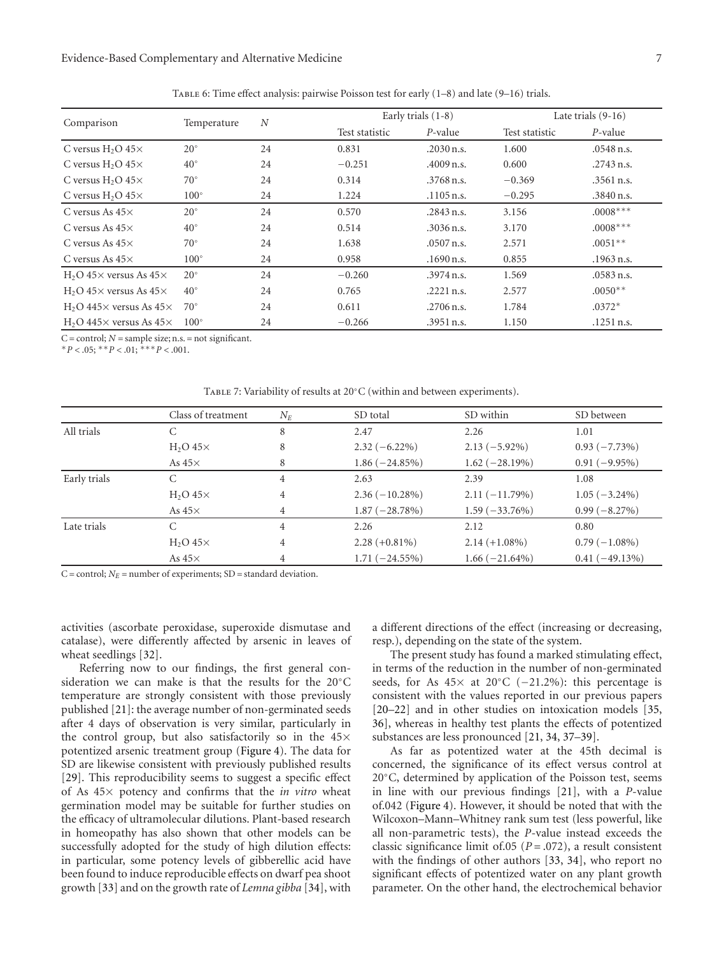## Evidence-Based Complementary and Alternative Medicine 7

| Comparison                               | Temperature   | $\boldsymbol{N}$ | Early trials $(1-8)$ |              | Late trials $(9-16)$ |              |
|------------------------------------------|---------------|------------------|----------------------|--------------|----------------------|--------------|
|                                          |               |                  | Test statistic       | P-value      | Test statistic       | P-value      |
| C versus $H_2O$ 45 $\times$              | $20^{\circ}$  | 24               | 0.831                | $.2030$ n.s. | 1.600                | $.0548$ n.s. |
| C versus $H_2O$ 45 $\times$              | $40^{\circ}$  | 24               | $-0.251$             | $.4009$ n.s. | 0.600                | $.2743$ n.s. |
| C versus $H_2O$ 45 $\times$              | $70^{\circ}$  | 24               | 0.314                | $.3768$ n.s. | $-0.369$             | .3561 n.s.   |
| C versus $H_2O$ 45 $\times$              | $100^{\circ}$ | 24               | 1.224                | $.1105$ n.s. | $-0.295$             | .3840 n.s.   |
| C versus As $45\times$                   | $20^{\circ}$  | 24               | 0.570                | .2843 n.s.   | 3.156                | $.0008***$   |
| C versus As $45\times$                   | $40^{\circ}$  | 24               | 0.514                | $.3036$ n.s. | 3.170                | $.0008***$   |
| C versus As $45\times$                   | $70^{\circ}$  | 24               | 1.638                | $.0507$ n.s. | 2.571                | $.0051**$    |
| C versus As $45\times$                   | $100^{\circ}$ | 24               | 0.958                | $.1690$ n.s. | 0.855                | $.1963$ n.s. |
| $H2O$ 45 $\times$ versus As 45 $\times$  | $20^{\circ}$  | 24               | $-0.260$             | $.3974$ n.s. | 1.569                | .0583 n.s.   |
| $H2O$ 45 $\times$ versus As 45 $\times$  | $40^{\circ}$  | 24               | 0.765                | $.2221$ n.s. | 2.577                | $.0050**$    |
| $H2O$ 445 $\times$ versus As 45 $\times$ | $70^{\circ}$  | 24               | 0.611                | $.2706$ n.s. | 1.784                | $.0372*$     |
| $H2O$ 445 $\times$ versus As 45 $\times$ | $100^\circ$   | 24               | $-0.266$             | .3951 n.s.   | 1.150                | $.1251$ n.s. |

Table 6: Time effect analysis: pairwise Poisson test for early (1–8) and late (9–16) trials.

C = control; *N* = sample size; n.s. = not significant.

 $*P < .05;$   $*^*P < .01;$   $*^{**}P < .001$ .

TABLE 7: Variability of results at 20℃ (within and between experiments).

|              | Class of treatment | $N_E$ | SD total         | SD within        | SD between       |
|--------------|--------------------|-------|------------------|------------------|------------------|
| All trials   | С                  | 8     | 2.47             | 2.26             | 1.01             |
|              | $H2O 45 \times$    | 8     | $2.32(-6.22\%)$  | $2.13(-5.92\%)$  | $0.93(-7.73\%)$  |
|              | As $45\times$      | 8     | $1.86(-24.85%)$  | $1.62(-28.19%)$  | $0.91(-9.95\%)$  |
| Early trials | C                  | 4     | 2.63             | 2.39             | 1.08             |
|              | $H2O 45 \times$    | 4     | $2.36(-10.28\%)$ | $2.11(-11.79%)$  | $1.05(-3.24\%)$  |
|              | As $45\times$      | 4     | $1.87(-28.78%)$  | $1.59(-33.76%)$  | $0.99(-8.27%)$   |
| Late trials  | C                  | 4     | 2.26             | 2.12             | 0.80             |
|              | $H2O 45 \times$    | 4     | $2.28 (+0.81\%)$ | $2.14 (+1.08\%)$ | $0.79(-1.08\%)$  |
|              | As $45\times$      | 4     | $1.71 (-24.55%)$ | $1.66(-21.64\%)$ | $0.41(-49.13\%)$ |

 $C =$  control;  $N_E =$  number of experiments;  $SD =$  standard deviation.

activities (ascorbate peroxidase, superoxide dismutase and catalase), were differently affected by arsenic in leaves of wheat seedlings [32].

Referring now to our findings, the first general consideration we can make is that the results for the 20◦C temperature are strongly consistent with those previously published [21]: the average number of non-germinated seeds after 4 days of observation is very similar, particularly in the control group, but also satisfactorily so in the 45× potentized arsenic treatment group (Figure 4). The data for SD are likewise consistent with previously published results [29]. This reproducibility seems to suggest a specific effect of As 45× potency and confirms that the *in vitro* wheat germination model may be suitable for further studies on the efficacy of ultramolecular dilutions. Plant-based research in homeopathy has also shown that other models can be successfully adopted for the study of high dilution effects: in particular, some potency levels of gibberellic acid have been found to induce reproducible effects on dwarf pea shoot growth [33] and on the growth rate of *Lemna gibba* [34], with

a different directions of the effect (increasing or decreasing, resp.), depending on the state of the system.

The present study has found a marked stimulating effect, in terms of the reduction in the number of non-germinated seeds, for As  $45\times$  at  $20\degree$ C (-21.2%): this percentage is consistent with the values reported in our previous papers [20–22] and in other studies on intoxication models [35, 36], whereas in healthy test plants the effects of potentized substances are less pronounced [21, 34, 37–39].

As far as potentized water at the 45th decimal is concerned, the significance of its effect versus control at 20◦C, determined by application of the Poisson test, seems in line with our previous findings [21], with a *P*-value of.042 (Figure 4). However, it should be noted that with the Wilcoxon–Mann–Whitney rank sum test (less powerful, like all non-parametric tests), the *P*-value instead exceeds the classic significance limit of  $(0.05)$   $(P = .072)$ , a result consistent with the findings of other authors [33, 34], who report no significant effects of potentized water on any plant growth parameter. On the other hand, the electrochemical behavior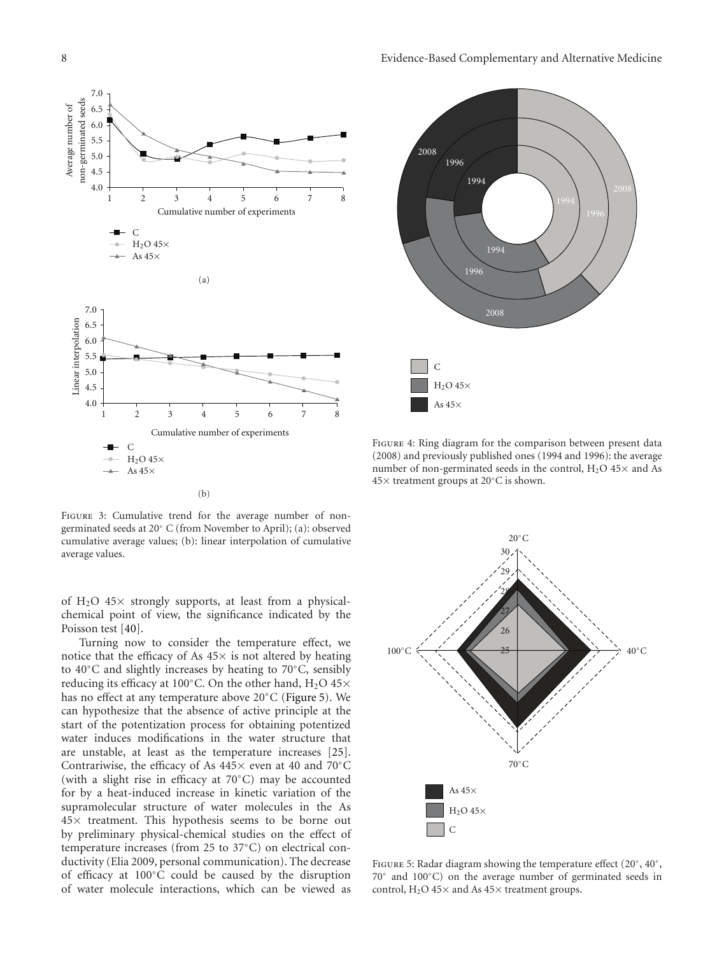

(b)



FIGURE 4: Ring diagram for the comparison between present data (2008) and previously published ones (1994 and 1996): the average number of non-germinated seeds in the control,  $H_2O$  45 $\times$  and As 45× treatment groups at 20◦C is shown.

FIGURE 3: Cumulative trend for the average number of nongerminated seeds at 20◦ C (from November to April); (a): observed cumulative average values; (b): linear interpolation of cumulative average values.

of  $H_2O$  45 $\times$  strongly supports, at least from a physicalchemical point of view, the significance indicated by the Poisson test [40].

Turning now to consider the temperature effect, we notice that the efficacy of As  $45\times$  is not altered by heating to 40◦C and slightly increases by heating to 70◦C, sensibly reducing its efficacy at 100 $^{\circ}$ C. On the other hand, H<sub>2</sub>O 45 $\times$ has no effect at any temperature above 20◦C (Figure 5). We can hypothesize that the absence of active principle at the start of the potentization process for obtaining potentized water induces modifications in the water structure that are unstable, at least as the temperature increases [25]. Contrariwise, the efficacy of As 445× even at 40 and 70◦C (with a slight rise in efficacy at 70◦C) may be accounted for by a heat-induced increase in kinetic variation of the supramolecular structure of water molecules in the As  $45\times$  treatment. This hypothesis seems to be borne out by preliminary physical-chemical studies on the effect of temperature increases (from 25 to 37◦C) on electrical conductivity (Elia 2009, personal communication). The decrease of efficacy at 100◦C could be caused by the disruption of water molecule interactions, which can be viewed as



Figure 5: Radar diagram showing the temperature effect (20◦, 40◦, 70◦ and 100◦C) on the average number of germinated seeds in control,  $H_2O$  45 $\times$  and As 45 $\times$  treatment groups.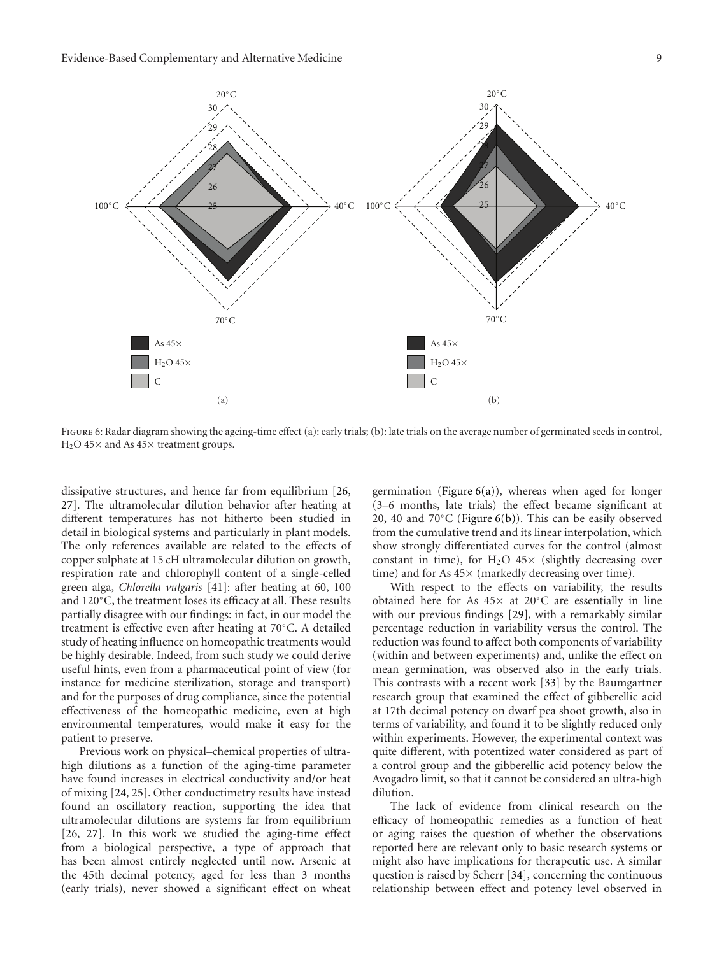

FIGURE 6: Radar diagram showing the ageing-time effect (a): early trials; (b): late trials on the average number of germinated seeds in control,  $H<sub>2</sub>O$  45× and As 45× treatment groups.

dissipative structures, and hence far from equilibrium [26, 27]. The ultramolecular dilution behavior after heating at different temperatures has not hitherto been studied in detail in biological systems and particularly in plant models. The only references available are related to the effects of copper sulphate at 15 cH ultramolecular dilution on growth, respiration rate and chlorophyll content of a single-celled green alga, *Chlorella vulgaris* [41]: after heating at 60, 100 and 120◦C, the treatment loses its efficacy at all. These results partially disagree with our findings: in fact, in our model the treatment is effective even after heating at 70◦C. A detailed study of heating influence on homeopathic treatments would be highly desirable. Indeed, from such study we could derive useful hints, even from a pharmaceutical point of view (for instance for medicine sterilization, storage and transport) and for the purposes of drug compliance, since the potential effectiveness of the homeopathic medicine, even at high environmental temperatures, would make it easy for the patient to preserve.

Previous work on physical–chemical properties of ultrahigh dilutions as a function of the aging-time parameter have found increases in electrical conductivity and/or heat of mixing [24, 25]. Other conductimetry results have instead found an oscillatory reaction, supporting the idea that ultramolecular dilutions are systems far from equilibrium [26, 27]. In this work we studied the aging-time effect from a biological perspective, a type of approach that has been almost entirely neglected until now. Arsenic at the 45th decimal potency, aged for less than 3 months (early trials), never showed a significant effect on wheat

germination (Figure  $6(a)$ ), whereas when aged for longer (3–6 months, late trials) the effect became significant at 20, 40 and 70◦C (Figure 6(b)). This can be easily observed from the cumulative trend and its linear interpolation, which show strongly differentiated curves for the control (almost constant in time), for  $H_2O$  45 $\times$  (slightly decreasing over time) and for As 45× (markedly decreasing over time).

With respect to the effects on variability, the results obtained here for As  $45\times$  at  $20^{\circ}$ C are essentially in line with our previous findings [29], with a remarkably similar percentage reduction in variability versus the control. The reduction was found to affect both components of variability (within and between experiments) and, unlike the effect on mean germination, was observed also in the early trials. This contrasts with a recent work [33] by the Baumgartner research group that examined the effect of gibberellic acid at 17th decimal potency on dwarf pea shoot growth, also in terms of variability, and found it to be slightly reduced only within experiments. However, the experimental context was quite different, with potentized water considered as part of a control group and the gibberellic acid potency below the Avogadro limit, so that it cannot be considered an ultra-high dilution.

The lack of evidence from clinical research on the efficacy of homeopathic remedies as a function of heat or aging raises the question of whether the observations reported here are relevant only to basic research systems or might also have implications for therapeutic use. A similar question is raised by Scherr [34], concerning the continuous relationship between effect and potency level observed in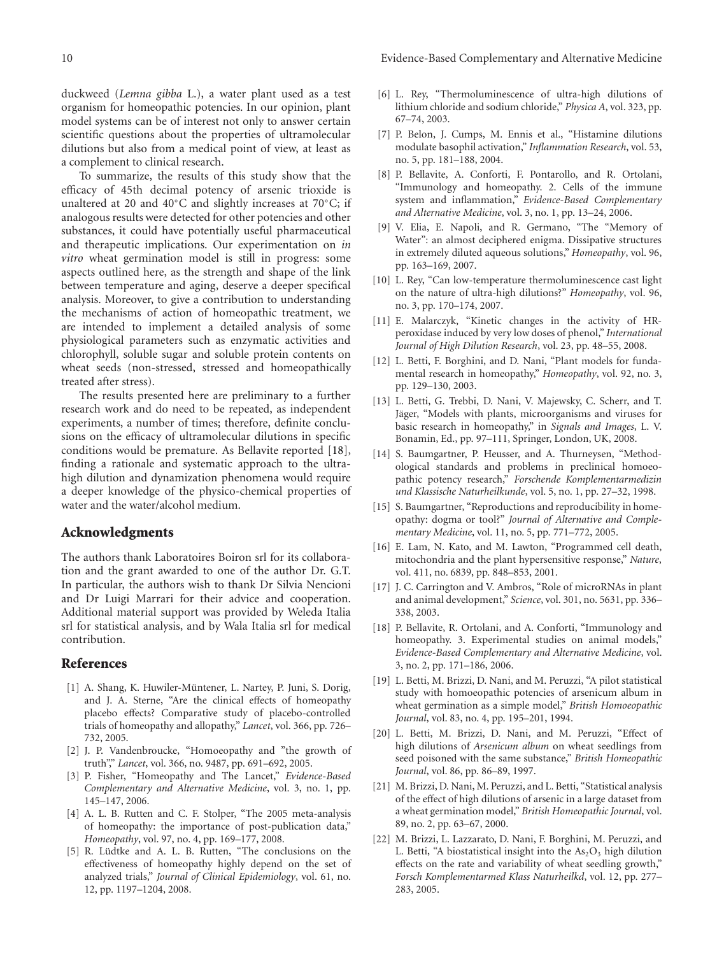10 Evidence-Based Complementary and Alternative Medicine

duckweed (*Lemna gibba* L.), a water plant used as a test organism for homeopathic potencies. In our opinion, plant model systems can be of interest not only to answer certain scientific questions about the properties of ultramolecular dilutions but also from a medical point of view, at least as a complement to clinical research.

To summarize, the results of this study show that the efficacy of 45th decimal potency of arsenic trioxide is unaltered at 20 and 40◦C and slightly increases at 70◦C; if analogous results were detected for other potencies and other substances, it could have potentially useful pharmaceutical and therapeutic implications. Our experimentation on *in vitro* wheat germination model is still in progress: some aspects outlined here, as the strength and shape of the link between temperature and aging, deserve a deeper specifical analysis. Moreover, to give a contribution to understanding the mechanisms of action of homeopathic treatment, we are intended to implement a detailed analysis of some physiological parameters such as enzymatic activities and chlorophyll, soluble sugar and soluble protein contents on wheat seeds (non-stressed, stressed and homeopathically treated after stress).

The results presented here are preliminary to a further research work and do need to be repeated, as independent experiments, a number of times; therefore, definite conclusions on the efficacy of ultramolecular dilutions in specific conditions would be premature. As Bellavite reported [18], finding a rationale and systematic approach to the ultrahigh dilution and dynamization phenomena would require a deeper knowledge of the physico-chemical properties of water and the water/alcohol medium.

## **Acknowledgments**

The authors thank Laboratoires Boiron srl for its collaboration and the grant awarded to one of the author Dr. G.T. In particular, the authors wish to thank Dr Silvia Nencioni and Dr Luigi Marrari for their advice and cooperation. Additional material support was provided by Weleda Italia srl for statistical analysis, and by Wala Italia srl for medical contribution.

#### **References**

- [1] A. Shang, K. Huwiler-Müntener, L. Nartey, P. Juni, S. Dorig, and J. A. Sterne, "Are the clinical effects of homeopathy placebo effects? Comparative study of placebo-controlled trials of homeopathy and allopathy," *Lancet*, vol. 366, pp. 726– 732, 2005.
- [2] J. P. Vandenbroucke, "Homoeopathy and "the growth of truth"," *Lancet*, vol. 366, no. 9487, pp. 691–692, 2005.
- [3] P. Fisher, "Homeopathy and The Lancet," *Evidence-Based Complementary and Alternative Medicine*, vol. 3, no. 1, pp. 145–147, 2006.
- [4] A. L. B. Rutten and C. F. Stolper, "The 2005 meta-analysis of homeopathy: the importance of post-publication data," *Homeopathy*, vol. 97, no. 4, pp. 169–177, 2008.
- [5] R. Lüdtke and A. L. B. Rutten, "The conclusions on the effectiveness of homeopathy highly depend on the set of analyzed trials," *Journal of Clinical Epidemiology*, vol. 61, no. 12, pp. 1197–1204, 2008.
- [6] L. Rey, "Thermoluminescence of ultra-high dilutions of lithium chloride and sodium chloride," *Physica A*, vol. 323, pp. 67–74, 2003.
- [7] P. Belon, J. Cumps, M. Ennis et al., "Histamine dilutions modulate basophil activation," *Inflammation Research*, vol. 53, no. 5, pp. 181–188, 2004.
- [8] P. Bellavite, A. Conforti, F. Pontarollo, and R. Ortolani, "Immunology and homeopathy. 2. Cells of the immune system and inflammation," *Evidence-Based Complementary and Alternative Medicine*, vol. 3, no. 1, pp. 13–24, 2006.
- [9] V. Elia, E. Napoli, and R. Germano, "The "Memory of Water": an almost deciphered enigma. Dissipative structures in extremely diluted aqueous solutions," *Homeopathy*, vol. 96, pp. 163–169, 2007.
- [10] L. Rey, "Can low-temperature thermoluminescence cast light on the nature of ultra-high dilutions?" *Homeopathy*, vol. 96, no. 3, pp. 170–174, 2007.
- [11] E. Malarczyk, "Kinetic changes in the activity of HRperoxidase induced by very low doses of phenol," *International Journal of High Dilution Research*, vol. 23, pp. 48–55, 2008.
- [12] L. Betti, F. Borghini, and D. Nani, "Plant models for fundamental research in homeopathy," *Homeopathy*, vol. 92, no. 3, pp. 129–130, 2003.
- [13] L. Betti, G. Trebbi, D. Nani, V. Majewsky, C. Scherr, and T. Jäger, "Models with plants, microorganisms and viruses for basic research in homeopathy," in *Signals and Images*, L. V. Bonamin, Ed., pp. 97–111, Springer, London, UK, 2008.
- [14] S. Baumgartner, P. Heusser, and A. Thurneysen, "Methodological standards and problems in preclinical homoeopathic potency research," *Forschende Komplementarmedizin und Klassische Naturheilkunde*, vol. 5, no. 1, pp. 27–32, 1998.
- [15] S. Baumgartner, "Reproductions and reproducibility in homeopathy: dogma or tool?" *Journal of Alternative and Complementary Medicine*, vol. 11, no. 5, pp. 771–772, 2005.
- [16] E. Lam, N. Kato, and M. Lawton, "Programmed cell death, mitochondria and the plant hypersensitive response," *Nature*, vol. 411, no. 6839, pp. 848–853, 2001.
- [17] J. C. Carrington and V. Ambros, "Role of microRNAs in plant and animal development," *Science*, vol. 301, no. 5631, pp. 336– 338, 2003.
- [18] P. Bellavite, R. Ortolani, and A. Conforti, "Immunology and homeopathy. 3. Experimental studies on animal models," *Evidence-Based Complementary and Alternative Medicine*, vol. 3, no. 2, pp. 171–186, 2006.
- [19] L. Betti, M. Brizzi, D. Nani, and M. Peruzzi, "A pilot statistical study with homoeopathic potencies of arsenicum album in wheat germination as a simple model," *British Homoeopathic Journal*, vol. 83, no. 4, pp. 195–201, 1994.
- [20] L. Betti, M. Brizzi, D. Nani, and M. Peruzzi, "Effect of high dilutions of *Arsenicum album* on wheat seedlings from seed poisoned with the same substance," *British Homeopathic Journal*, vol. 86, pp. 86–89, 1997.
- [21] M. Brizzi, D. Nani, M. Peruzzi, and L. Betti, "Statistical analysis of the effect of high dilutions of arsenic in a large dataset from a wheat germination model," *British Homeopathic Journal*, vol. 89, no. 2, pp. 63–67, 2000.
- [22] M. Brizzi, L. Lazzarato, D. Nani, F. Borghini, M. Peruzzi, and L. Betti, "A biostatistical insight into the  $As<sub>2</sub>O<sub>3</sub>$  high dilution effects on the rate and variability of wheat seedling growth," *Forsch Komplementarmed Klass Naturheilkd*, vol. 12, pp. 277– 283, 2005.